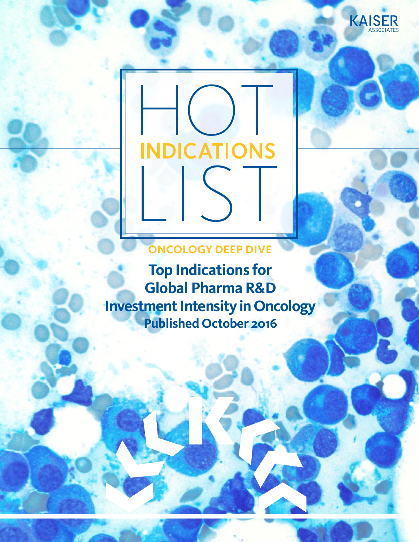



**ONCOLOGY DEEP DIVE**

**Top Indications for Global Pharma R&D Investment Intensity in Oncology Published October 2016**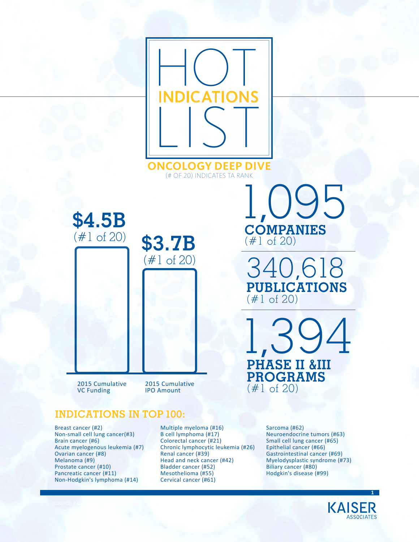

(# OF 20) INDICATES TA RANK



2015 Cumulative VC Funding

2015 Cumulative IPO Amount

### **INDICATIONS IN TOP 100:**

Breast cancer (#2) Non-small cell lung cancer(#3) Brain cancer (#6) Acute myelogenous leukemia (#7) Ovarian cancer (#8) Melanoma (#9) Prostate cancer (#10) Pancreatic cancer (#11) Non-Hodgkin's lymphoma (#14)

Multiple myeloma (#16) B cell lymphoma (#17) Colorectal cancer (#21) Chronic lymphocytic leukemia (#26) Renal cancer (#39) Head and neck cancer (#42) Bladder cancer (#52) Mesothelioma (#55) Cervical cancer (#61)

**COMPANIES** (#1 of 20) 1,095

340,618 **PUBLICATIONS**  $(\#1 \tof 20)$ 

1,394 **PHASE II &III PROGRAMS** (#1 of 20)

> Sarcoma (#62) Neuroendocrine tumors (#63) Small cell lung cancer (#65) Epithelial cancer (#66) Gastrointestinal cancer (#69) Myelodysplastic syndrome (#73) Biliary cancer (#80) Hodgkin's disease (#99)



**1**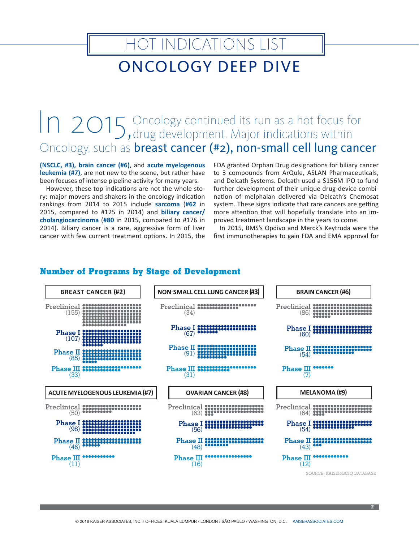# ONCOLOGY DEEP DIVE

HOT INDICATIONS LIST

## In 2015, Oncology continued its run as a hot focus for drug development. Major indications within Oncology, such as breast cancer (#2), non-small cell lung cancer

**(NSCLC, #3), brain cancer (#6)**, and **acute myelogenous leukemia (#7)**, are not new to the scene, but rather have been focuses of intense pipeline activity for many years.

However, these top indications are not the whole story: major movers and shakers in the oncology indication rankings from 2014 to 2015 include **sarcoma** (**#62** in 2015, compared to #125 in 2014) and **biliary cancer/ cholangiocarcinoma** (**#80** in 2015, compared to #176 in 2014). Biliary cancer is a rare, aggressive form of liver cancer with few current treatment options. In 2015, the

FDA granted Orphan Drug designations for biliary cancer to 3 compounds from ArQule, ASLAN Pharmaceuticals, and Delcath Systems. Delcath used a \$156M IPO to fund further development of their unique drug-device combination of melphalan delivered via Delcath's Chemosat system. These signs indicate that rare cancers are getting more attention that will hopefully translate into an improved treatment landscape in the years to come.

In 2015, BMS's Opdivo and Merck's Keytruda were the first immunotherapies to gain FDA and EMA approval for



#### **Number of Programs by Stage of Development**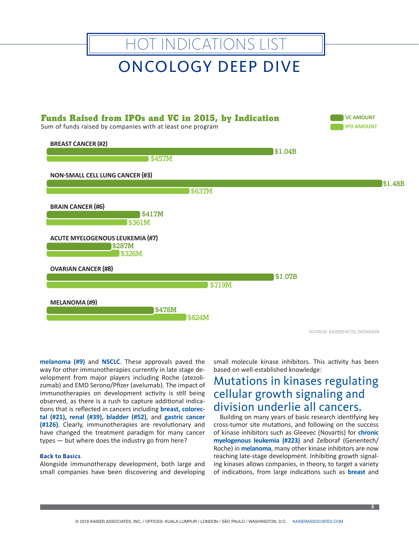

SOURCE: KAISER/BCIQ DATABASE

**3**

**melanoma (#9)** and **NSCLC**. These approvals paved the way for other immunotherapies currently in late stage development from major players including Roche (atezolizumab) and EMD Serono/Pfizer (avelumab). The impact of immunotherapies on development activity is still being observed, as there is a rush to capture additional indications that is reflected in cancers including **breast, colorectal (#21), renal (#39), bladder (#52)**, and **gastric cancer (#126)**. Clearly, immunotherapies are revolutionary and have changed the treatment paradigm for many cancer types — but where does the industry go from here?

#### **Back to Basics**

Alongside immunotherapy development, both large and small companies have been discovering and developing small molecule kinase inhibitors. This activity has been based on well-established knowledge:

## Mutations in kinases regulating cellular growth signaling and division underlie all cancers.

Building on many years of basic research identifying key cross-tumor site mutations, and following on the success of kinase inhibitors such as Gleevec (Novartis) for **chronic myelogenous leukemia (#223)** and Zelboraf (Genentech/ Roche) in **melanoma**, many other kinase inhibitors are now reaching late-stage development. Inhibiting growth signaling kinases allows companies, in theory, to target a variety of indications, from large indications such as **breast** and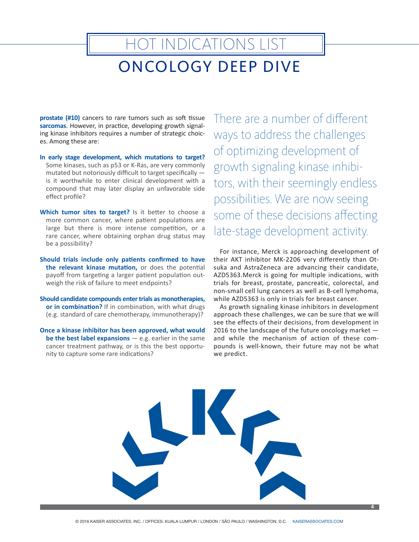# ONCOLOGY DEEP DIVE HOT INDICATIONS LIST

**prostate (#10)** cancers to rare tumors such as soft tissue **sarcomas**. However, in practice, developing growth signaling kinase inhibitors requires a number of strategic choices. Among these are:

- **In early stage development, which mutations to target?**  Some kinases, such as p53 or K-Ras, are very commonly mutated but notoriously difficult to target specifically is it worthwhile to enter clinical development with a compound that may later display an unfavorable side effect profile?
- **Which tumor sites to target?** Is it better to choose a more common cancer, where patient populations are large but there is more intense competition, or a rare cancer, where obtaining orphan drug status may be a possibility?
- **Should trials include only patients confirmed to have the relevant kinase mutation,** or does the potential payoff from targeting a larger patient population outweigh the risk of failure to meet endpoints?
- **Should candidate compounds enter trials as monotherapies, or in combination?** If in combination, with what drugs (e.g. standard of care chemotherapy, immunotherapy)?
- **Once a kinase inhibitor has been approved, what would be the best label expansions** — e.g. earlier in the same cancer treatment pathway, or is this the best opportunity to capture some rare indications?

There are a number of different ways to address the challenges of optimizing development of growth signaling kinase inhibitors, with their seemingly endless possibilities. We are now seeing some of these decisions affecting late-stage development activity.

For instance, Merck is approaching development of their AKT inhibitor MK-2206 very differently than Otsuka and AstraZeneca are advancing their candidate, AZD5363.Merck is going for multiple indications, with trials for breast, prostate, pancreatic, colorectal, and non-small cell lung cancers as well as B-cell lymphoma, while AZD5363 is only in trials for breast cancer.

As growth signaling kinase inhibitors in development approach these challenges, we can be sure that we will see the effects of their decisions, from development in 2016 to the landscape of the future oncology market and while the mechanism of action of these compounds is well-known, their future may not be what we predict.

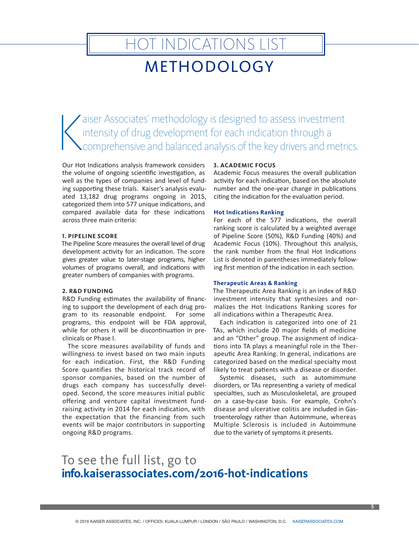## HOT INDICATIONS LIST METHODOLOGY

 $\left|\right|$ aiser Associates' methodology is designed to assess investment intensity of drug development for each indication through a comprehensive and balanced analysis of the key drivers and metrics.

Our Hot Indications analysis framework considers the volume of ongoing scientific investigation, as well as the types of companies and level of funding supporting these trials. Kaiser's analysis evaluated 13,182 drug programs ongoing in 2015, categorized them into 577 unique indications, and compared available data for these indications across three main criteria:

#### **1. PIPELINE SCORE**

The Pipeline Score measures the overall level of drug development activity for an indication. The score gives greater value to later-stage programs, higher volumes of programs overall, and indications with greater numbers of companies with programs.

#### **2. R&D FUNDING**

R&D Funding estimates the availability of financing to support the development of each drug program to its reasonable endpoint. For some programs, this endpoint will be FDA approval, while for others it will be discontinuation in preclinicals or Phase I.

The score measures availability of funds and willingness to invest based on two main inputs for each indication. First, the R&D Funding Score quantifies the historical track record of sponsor companies, based on the number of drugs each company has successfully developed. Second, the score measures initial public offering and venture capital investment fundraising activity in 2014 for each indication, with the expectation that the financing from such events will be major contributors in supporting ongoing R&D programs.

#### **3. ACADEMIC FOCUS**

Academic Focus measures the overall publication activity for each indication, based on the absolute number and the one-year change in publications citing the indication for the evaluation period.

#### **Hot Indications Ranking**

For each of the 577 indications, the overall ranking score is calculated by a weighted average of Pipeline Score (50%), R&D Funding (40%) and Academic Focus (10%). Throughout this analysis, the rank number from the final Hot Indications List is denoted in parentheses immediately following first mention of the indication in each section.

#### **Therapeutic Areas & Ranking**

The Therapeutic Area Ranking is an index of R&D investment intensity that synthesizes and normalizes the Hot Indications Ranking scores for all indications within a Therapeutic Area.

Each indication is categorized into one of 21 TAs, which include 20 major fields of medicine and an "Other" group. The assignment of indications into TA plays a meaningful role in the Therapeutic Area Ranking. In general, indications are categorized based on the medical specialty most likely to treat patients with a disease or disorder.

Systemic diseases, such as automimmune disorders, or TAs representing a variety of medical specialties, such as Musculoskeletal, are grouped on a case-by-case basis. For example, Crohn's disease and ulcerative colitis are included in Gastroenterology rather than Autoimmune, whereas Multiple Sclerosis is included in Autoimmune due to the variety of symptoms it presents.

## To see the full list, go to **info[.kaiserassociates.com/](info.kaiserassociates.com/2016-hot-indications)2016-hot-indications**

**5**